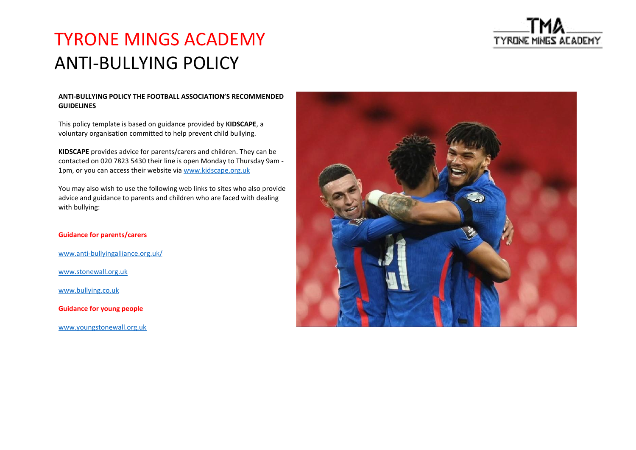

### TYRONE MINGS ACADEMY ANTI-BULLYING POLICY

### **ANTI-BULLYING POLICY THE FOOTBALL ASSOCIATION'S RECOMMENDED GUIDELINES**

This policy template is based on guidance provided by **KIDSCAPE**, a voluntary organisation committed to help prevent child bullying.

**KIDSCAPE** provides advice for parents/carers and children. They can be contacted on 020 7823 5430 their line is open Monday to Thursday 9am - 1pm, or you can access their website via [www.kidscape.org.uk](http://www.kidscape.org.uk/)

You may also wish to use the following web links to sites who also provide advice and guidance to parents and children who are faced with dealing with bullying:

### **Guidance for parents/carers**

[www.anti-bullyingalliance.org.uk/](http://www.anti-bullyingalliance.org.uk/)

[www.stonewall.org.uk](http://www.stonewall.org.uk/)

[www.bullying.co.uk](http://www.bullying.co.uk/)

**Guidance for young people** 

[www.youngstonewall.org.uk](http://www.youngstonewall.org.uk/)

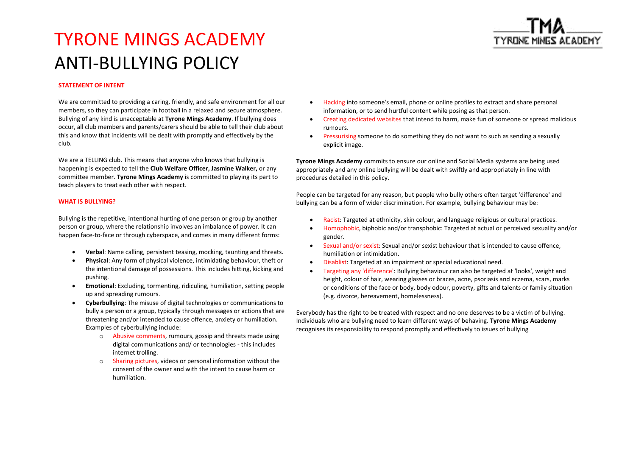

## TYRONE MINGS ACADEMY ANTI-BULLYING POLICY

### **STATEMENT OF INTENT**

We are committed to providing a caring, friendly, and safe environment for all our members, so they can participate in football in a relaxed and secure atmosphere. Bullying of any kind is unacceptable at **Tyrone Mings Academy**. If bullying does occur, all club members and parents/carers should be able to tell their club about this and know that incidents will be dealt with promptly and effectively by the club.

We are a TELLING club. This means that anyone who knows that bullying is happening is expected to tell the **Club Welfare Officer, Jasmine Walker,** or any committee member. **Tyrone Mings Academy** is committed to playing its part to teach players to treat each other with respect.

#### **WHAT IS BULLYING?**

Bullying is the repetitive, intentional hurting of one person or group by another person or group, where the relationship involves an imbalance of power. It can happen face-to-face or through cyberspace, and comes in many different forms:

- **Verbal**: Name calling, persistent teasing, mocking, taunting and threats.
- **Physical**: Any form of physical violence, intimidating behaviour, theft or the intentional damage of possessions. This includes hitting, kicking and pushing.
- **Emotional**: Excluding, tormenting, ridiculing, humiliation, setting people up and spreading rumours.
- **Cyberbullying**: The misuse of digital technologies or communications to bully a person or a group, typically through messages or actions that are threatening and/or intended to cause offence, anxiety or humiliation. Examples of cyberbullying include:
	- o Abusive comments, rumours, gossip and threats made using digital communications and/ or technologies - this includes internet trolling.
	- o Sharing pictures, videos or personal information without the consent of the owner and with the intent to cause harm or humiliation.
- Hacking into someone's email, phone or online profiles to extract and share personal information, or to send hurtful content while posing as that person.
- Creating dedicated websites that intend to harm, make fun of someone or spread malicious rumours.
- Pressurising someone to do something they do not want to such as sending a sexually explicit image.

**Tyrone Mings Academy** commits to ensure our online and Social Media systems are being used appropriately and any online bullying will be dealt with swiftly and appropriately in line with procedures detailed in this policy.

People can be targeted for any reason, but people who bully others often target 'difference' and bullying can be a form of wider discrimination. For example, bullying behaviour may be:

- Racist: Targeted at ethnicity, skin colour, and language religious or cultural practices.
- Homophobic, biphobic and/or transphobic: Targeted at actual or perceived sexuality and/or gender.
- Sexual and/or sexist: Sexual and/or sexist behaviour that is intended to cause offence, humiliation or intimidation.
- Disablist: Targeted at an impairment or special educational need.
- Targeting any 'difference': Bullying behaviour can also be targeted at 'looks', weight and height, colour of hair, wearing glasses or braces, acne, psoriasis and eczema, scars, marks or conditions of the face or body, body odour, poverty, gifts and talents or family situation (e.g. divorce, bereavement, homelessness).

Everybody has the right to be treated with respect and no one deserves to be a victim of bullying. Individuals who are bullying need to learn different ways of behaving. **Tyrone Mings Academy** recognises its responsibility to respond promptly and effectively to issues of bullying